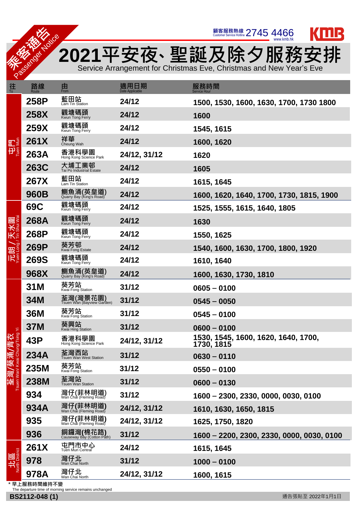` 顧客服務熱線 2021平安夜、聖誕及除夕服務安排

Service Arrangement for Christmas Eve, Christmas and New Year's Eve







\* 早上服務時間維持不變

The departure time of morning service remains unchanged

**THE SOLUTION WAS** 

Passenger Notice

| 往                                                      | 路線<br>Route | 由<br>From                              | 適用日期         | 服務時間<br><b>Service Hour</b>                       |
|--------------------------------------------------------|-------------|----------------------------------------|--------------|---------------------------------------------------|
| 肥 <sup>5</sup><br>田<br>Pee                             | 258P        | 藍田站<br>Lam Tin Station                 | 24/12        | 1500, 1530, 1600, 1630, 1700, 1730 1800           |
|                                                        | <b>258X</b> | 觀塘碼頭<br>Kwun Tong Ferry                | 24/12        | 1600                                              |
|                                                        | <b>259X</b> | 觀塘碼頭<br>Kwun Tong Ferry                | 24/12        | 1545, 1615                                        |
|                                                        | <b>261X</b> | 祥華<br>Cheung Wah                       | 24/12        | 1600, 1620                                        |
|                                                        | <b>263A</b> | 香港科學園<br>Hong Kong Science Park        | 24/12, 31/12 | 1620                                              |
|                                                        | <b>263C</b> | 大埔工業邨<br>Tai Po Industrial Estate      | 24/12        | 1605                                              |
|                                                        | <b>267X</b> | 藍田站<br>Lam Tin Station                 | 24/12        | 1615, 1645                                        |
|                                                        | <b>960B</b> | 鰂魚涌(英皇道)<br>Quarry Bay (King's Road)   | 24/12        | 1600, 1620, 1640, 1700, 1730, 1815, 1900          |
| 元朗/天水圍                                                 | <b>69C</b>  | 觀塘碼頭<br>Kwun Tong Ferry                | 24/12        | 1525, 1555, 1615, 1640, 1805                      |
|                                                        | <b>268A</b> | 觀塘碼頭<br>Kwun Tong Ferry                | 24/12        | 1630                                              |
|                                                        | 268P        | 觀塘碼頭<br>Kwun Tong Ferry                | 24/12        | 1550, 1625                                        |
|                                                        | <b>269P</b> | 葵芳邨<br>Kwai Fong Estate                | 24/12        | 1540, 1600, 1630, 1700, 1800, 1920                |
|                                                        | <b>269S</b> | 觀塘碼頭<br>Kwun Tong Ferry                | 24/12        | 1610, 1640                                        |
|                                                        | 968X        | 鰂魚涌(英皇道)                               | 24/12        | 1600, 1630, 1730, 1810                            |
|                                                        | 31M         | 葵芳站<br>Kwai Fong Station               | 31/12        | $0605 - 0100$                                     |
|                                                        | 34M         | 荃灣(灣景花園)<br>Tsuen Wan (Bayview Garden) | 31/12        | $0545 - 0050$                                     |
|                                                        | <b>36M</b>  | 葵芳站<br>Kwai Fong Station               | 31/12        | $0545 - 0100$                                     |
|                                                        | <b>37M</b>  | 葵興站<br>Kwai Hing Station               | 31/12        | $0600 - 0100$                                     |
|                                                        | <b>43P</b>  | 香港科學園<br>Hong Kong Science Park        | 24/12, 31/12 | 1530, 1545, 1600, 1620, 1640, 1700,<br>1730, 1815 |
|                                                        | <b>234A</b> | 荃灣西站<br>Tsuen Wan West Station         | 31/12        | $0630 - 0110$                                     |
|                                                        | <b>235M</b> | 葵芳站<br>Kwai Fong Station               | 31/12        | $0550 - 0100$                                     |
| 、抖灣/葵涌/青衣<br><sub>Tsuen Wan/ Kwai Chung/Tsing Yi</sub> | <b>238M</b> | 荃灣站<br>Tsuen Wan Station               | 31/12        | $0600 - 0130$                                     |
|                                                        | 934         | 灣仔(菲林明道)<br>Wan Chai (Fleming Road)    | 31/12        | 1600 - 2300, 2330, 0000, 0030, 0100               |
|                                                        | 934A        | 灣仔(菲林明道)                               | 24/12, 31/12 | 1610, 1630, 1650, 1815                            |
|                                                        | 935         | 灣仔(菲林明道)                               | 24/12, 31/12 | 1625, 1750, 1820                                  |
|                                                        | 936         | 銅鑼灣(棉花路)<br>Causeway Bay (Cotton Path) | 31/12        | 1600 - 2200, 2300, 2330, 0000, 0030, 0100         |
| 。<br>District<br>北<br>14                               | <b>261X</b> | 屯門市中心<br><b>Tuen Mun Central</b>       | 24/12        | 1615, 1645                                        |
|                                                        | 978         | 灣仔北<br>Wan Chai North                  | 31/12        | $1000 - 0100$                                     |
|                                                        | 978A        | 灣仔北<br>Wan Chai North                  | 24/12, 31/12 | 1600, 1615                                        |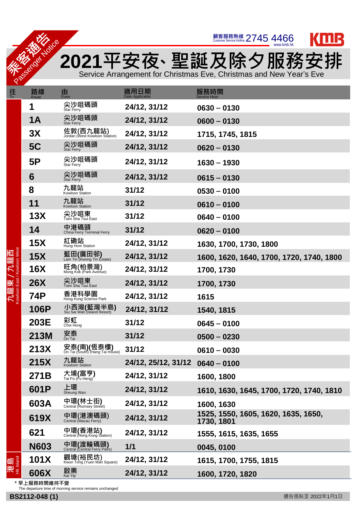



**TALK THE POST OF THE PART OF THE PART OF THE PART OF THE PART OF THE PART OF THE PART OF THE PART OF THE PART O<br>THE PART OF THE PART OF THE PART OF THE PART OF THE PART OF THE PART OF THE PART OF THE PART OF THE PART OF** 2021平安夜、聖誕及除夕服務安排

Service Arrangement for Christmas Eve, Christmas and New Year's Eve

## \* 早上服務時間維持不變

The departure time of morning service remains unchanged

| 往                              | 路線<br>Route | 由<br>From                                     | 適用日期<br>Date Applicable | 服務時間<br><b>Service Hour</b>                       |
|--------------------------------|-------------|-----------------------------------------------|-------------------------|---------------------------------------------------|
|                                | 1           | 尖沙咀碼頭<br><b>Star Ferry</b>                    | 24/12, 31/12            | $0630 - 0130$                                     |
|                                | <b>1A</b>   | 尖沙咀碼頭<br><b>Star Ferry</b>                    | 24/12, 31/12            | $0600 - 0130$                                     |
|                                | 3X          | 佐敦(西九龍站)<br>Jordan (West Kowloon Station)     | 24/12, 31/12            | 1715, 1745, 1815                                  |
|                                | <b>5C</b>   | 尖沙咀碼頭<br><b>Star Ferry</b>                    | 24/12, 31/12            | $0620 - 0130$                                     |
|                                | 5P          | 尖沙咀碼頭<br><b>Star Ferry</b>                    | 24/12, 31/12            | $1630 - 1930$                                     |
|                                | 6           | 尖沙咀碼頭<br><b>Star Ferry</b>                    | 24/12, 31/12            | $0615 - 0130$                                     |
|                                | 8           | 九龍站<br>Kowloon Station                        | 31/12                   | $0530 - 0100$                                     |
|                                | 11          | 九龍站<br>Kowloon Station                        | 31/12                   | $0610 - 0100$                                     |
|                                | 13X         | 尖沙咀東<br>Tsim Sha Tsui East                    | 31/12                   | $0640 - 0100$                                     |
|                                | 14          | 中港碼頭<br>China Ferry Terminal Ferry            | 31/12                   | $0620 - 0100$                                     |
|                                | <b>15X</b>  | 紅磡站<br>Hung Hom Station                       | 24/12, 31/12            | 1630, 1700, 1730, 1800                            |
|                                | <b>15X</b>  | 藍田(廣田邨)<br>Lam Tin (Kwong Tin Estate)         | 24/12, 31/12            | 1600, 1620, 1640, 1700, 1720, 1740, 1800          |
| /九龍西<br>t/Kowloon West         | <b>16X</b>  | 旺角(柏景灣)<br>Mong Kok (Park Avenue)             | 24/12, 31/12            | 1700, 1730                                        |
|                                | <b>26X</b>  | 尖沙咀東<br>Tsim Sha Tsui East                    | 24/12, 31/12            | 1700, 1730                                        |
| 九龍東<br><sup>Kowloon East</sup> | <b>74P</b>  | 香港科學園<br>Hong Kong Science Park               | 24/12, 31/12            | 1615                                              |
|                                | <b>106P</b> | 小西灣(藍灣半島)<br>Siu Sai Wan (Island Resort)      | 24/12, 31/12            | 1540, 1815                                        |
|                                | <b>203E</b> | 彩虹<br><sup>Choi Hung</sup>                    | 31/12                   | $0645 - 0100$                                     |
|                                | <b>213M</b> | 安泰<br><sub>On Tai</sub>                       | 31/12                   | $0500 - 0230$                                     |
|                                | <b>213X</b> | 安泰(南)(恆泰樓)<br>On Tai (South) (Hang Tai House) | 31/12                   | $0610 - 0030$                                     |
|                                | <b>215X</b> | 九龍站<br>Kowloon Station                        | 24/12, 25/12, 31/12     | $0640 - 0100$                                     |
|                                | 271B        | 大埔(富亨)<br>Tai Po (Fu Heng)                    | 24/12, 31/12            | 1600, 1800                                        |
|                                | 601P        | 上環<br>Sheung Wan                              | 24/12, 31/12            | 1610, 1630, 1645, 1700, 1720, 1740, 1810          |
|                                | 603A        | 中環(林士街)<br>Central (Rumsey Street)            | 24/12, 31/12            | 1600, 1630                                        |
|                                | 619X        | 中環(港澳碼頭)<br><sub>Central (Macau Ferry)</sub>  | 24/12, 31/12            | 1525, 1550, 1605, 1620, 1635, 1650,<br>1730, 1801 |
|                                | 621         | 中環(香港站)<br>Central (Hong Kong Station)        | 24/12, 31/12            | 1555, 1615, 1635, 1655                            |
|                                | <b>N603</b> | 中環(渡輪碼頭)<br>Central (Central Ferry Piers)     | 1/1                     | 0045, 0100                                        |
| 港島                             | <b>101X</b> | 觀塘(裕民坊)<br>Kwun Tong (Yuen Man Square)        | 24/12, 31/12            | 1615, 1700, 1755, 1815                            |
|                                | 606X        | 啟業<br>Kai Yip                                 | 24/12, 31/12            | 1600, 1720, 1820                                  |

**THE SOLUTION WAS** 

Passenger Notice